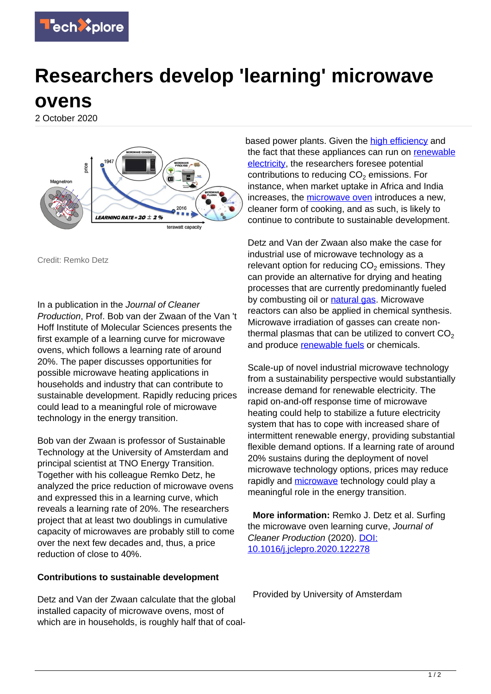

## **Researchers develop 'learning' microwave ovens**

2 October 2020



Credit: Remko Detz

In a publication in the Journal of Cleaner Production, Prof. Bob van der Zwaan of the Van 't Hoff Institute of Molecular Sciences presents the first example of a learning curve for microwave ovens, which follows a learning rate of around 20%. The paper discusses opportunities for possible microwave heating applications in households and industry that can contribute to sustainable development. Rapidly reducing prices could lead to a meaningful role of microwave technology in the energy transition.

Bob van der Zwaan is professor of Sustainable Technology at the University of Amsterdam and principal scientist at TNO Energy Transition. Together with his colleague Remko Detz, he analyzed the price reduction of microwave ovens and expressed this in a learning curve, which reveals a learning rate of 20%. The researchers project that at least two doublings in cumulative capacity of microwaves are probably still to come over the next few decades and, thus, a price reduction of close to 40%.

## **Contributions to sustainable development**

Detz and Van der Zwaan calculate that the global installed capacity of microwave ovens, most of which are in households, is roughly half that of coal-

based power plants. Given the [high efficiency](https://techxplore.com/tags/high+efficiency/) and the fact that these appliances can run on [renewable](https://techxplore.com/tags/renewable+electricity/) [electricity](https://techxplore.com/tags/renewable+electricity/), the researchers foresee potential contributions to reducing  $CO<sub>2</sub>$  emissions. For instance, when market uptake in Africa and India increases, the [microwave oven](https://techxplore.com/tags/microwave+oven/) introduces a new, cleaner form of cooking, and as such, is likely to continue to contribute to sustainable development.

Detz and Van der Zwaan also make the case for industrial use of microwave technology as a relevant option for reducing  $CO<sub>2</sub>$  emissions. They can provide an alternative for drying and heating processes that are currently predominantly fueled by combusting oil or [natural gas.](https://techxplore.com/tags/natural+gas/) Microwave reactors can also be applied in chemical synthesis. Microwave irradiation of gasses can create nonthermal plasmas that can be utilized to convert  $CO<sub>2</sub>$ and produce [renewable fuels](https://techxplore.com/tags/renewable+fuels/) or chemicals.

Scale-up of novel industrial microwave technology from a sustainability perspective would substantially increase demand for renewable electricity. The rapid on-and-off response time of microwave heating could help to stabilize a future electricity system that has to cope with increased share of intermittent renewable energy, providing substantial flexible demand options. If a learning rate of around 20% sustains during the deployment of novel microwave technology options, prices may reduce rapidly and [microwave](https://techxplore.com/tags/microwave/) technology could play a meaningful role in the energy transition.

 **More information:** Remko J. Detz et al. Surfing the microwave oven learning curve, Journal of Cleaner Production (2020). [DOI:](http://dx.doi.org/10.1016/j.jclepro.2020.122278) [10.1016/j.jclepro.2020.122278](http://dx.doi.org/10.1016/j.jclepro.2020.122278)

Provided by University of Amsterdam